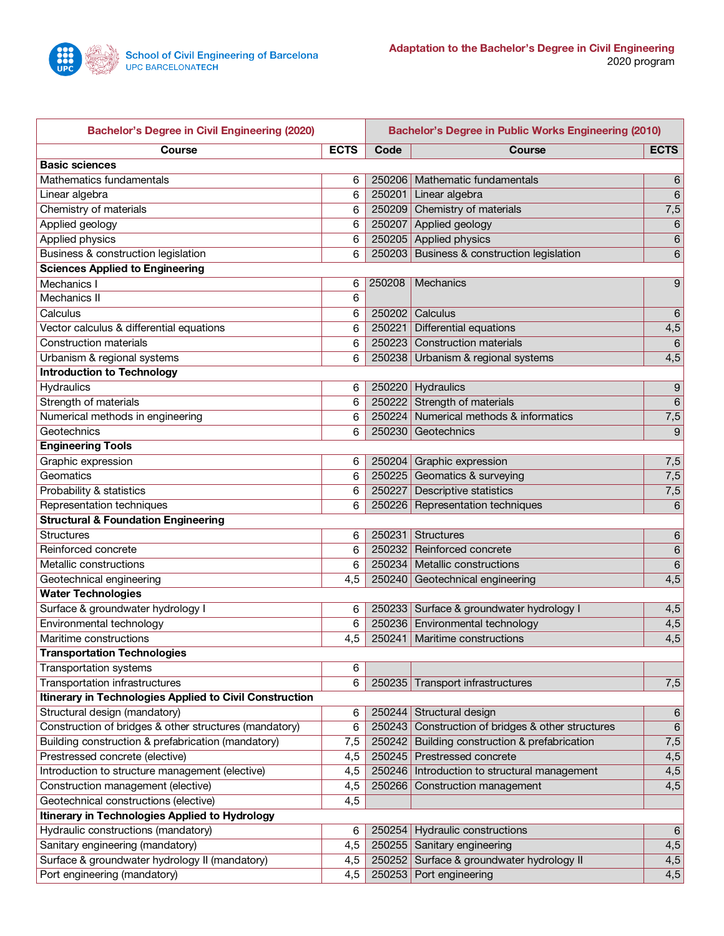

| <b>Bachelor's Degree in Civil Engineering (2020)</b>    |             |        | <b>Bachelor's Degree in Public Works Engineering (2010)</b> |                  |  |  |  |
|---------------------------------------------------------|-------------|--------|-------------------------------------------------------------|------------------|--|--|--|
| <b>Course</b>                                           | <b>ECTS</b> | Code   | <b>Course</b>                                               | <b>ECTS</b>      |  |  |  |
| <b>Basic sciences</b>                                   |             |        |                                                             |                  |  |  |  |
| Mathematics fundamentals                                | 6           |        | 250206   Mathematic fundamentals                            | 6                |  |  |  |
| Linear algebra                                          | 6           |        | 250201 Linear algebra                                       | $\,6$            |  |  |  |
| Chemistry of materials                                  | 6           |        | 250209 Chemistry of materials                               | $\overline{7,5}$ |  |  |  |
| Applied geology                                         | 6           |        | 250207 Applied geology                                      | 6                |  |  |  |
| <b>Applied physics</b>                                  | 6           |        | 250205 Applied physics                                      | $\,6$            |  |  |  |
| <b>Business &amp; construction legislation</b>          | 6           |        | 250203 Business & construction legislation                  | 6                |  |  |  |
| <b>Sciences Applied to Engineering</b>                  |             |        |                                                             |                  |  |  |  |
| Mechanics I                                             | 6           | 250208 | Mechanics                                                   | 9                |  |  |  |
| Mechanics II                                            | 6           |        |                                                             |                  |  |  |  |
| Calculus                                                | 6           |        | 250202 Calculus                                             | 6                |  |  |  |
| Vector calculus & differential equations                | 6           | 250221 | <b>Differential equations</b>                               | $\overline{4,5}$ |  |  |  |
| <b>Construction materials</b>                           | 6           |        | 250223 Construction materials                               | $\,6\,$          |  |  |  |
| Urbanism & regional systems                             | 6           |        | 250238 Urbanism & regional systems                          | 4,5              |  |  |  |
| <b>Introduction to Technology</b>                       |             |        |                                                             |                  |  |  |  |
| <b>Hydraulics</b>                                       | 6           |        | 250220 Hydraulics                                           | 9                |  |  |  |
| Strength of materials                                   | 6           |        | 250222 Strength of materials                                | $\,6\,$          |  |  |  |
| Numerical methods in engineering                        | 6           |        | 250224 Numerical methods & informatics                      | 7,5              |  |  |  |
| Geotechnics                                             | 6           |        | 250230 Geotechnics                                          | $\boldsymbol{9}$ |  |  |  |
| <b>Engineering Tools</b>                                |             |        |                                                             |                  |  |  |  |
| Graphic expression                                      | 6           |        | 250204 Graphic expression                                   | 7,5              |  |  |  |
| Geomatics                                               | 6           |        | 250225 Geomatics & surveying                                | 7,5              |  |  |  |
| Probability & statistics                                | 6           |        | 250227 Descriptive statistics                               | 7,5              |  |  |  |
| Representation techniques                               | 6           |        | 250226 Representation techniques                            | 6                |  |  |  |
| <b>Structural &amp; Foundation Engineering</b>          |             |        |                                                             |                  |  |  |  |
| <b>Structures</b>                                       | 6           | 250231 | Structures                                                  | 6                |  |  |  |
| Reinforced concrete                                     | 6           | 250232 | Reinforced concrete                                         | $\,6\,$          |  |  |  |
| Metallic constructions                                  | 6           |        | 250234 Metallic constructions                               | 6                |  |  |  |
| Geotechnical engineering                                | 4,5         |        | 250240 Geotechnical engineering                             | 4,5              |  |  |  |
| <b>Water Technologies</b>                               |             |        |                                                             |                  |  |  |  |
| Surface & groundwater hydrology I                       | 6           |        | 250233 Surface & groundwater hydrology I                    | 4,5              |  |  |  |
| Environmental technology                                | 6           |        | 250236 Environmental technology                             | $\overline{4,5}$ |  |  |  |
| Maritime constructions                                  | 4,5         |        | 250241 Maritime constructions                               | $\overline{4,5}$ |  |  |  |
| <b>Transportation Technologies</b>                      |             |        |                                                             |                  |  |  |  |
| <b>Transportation systems</b>                           | 6           |        |                                                             |                  |  |  |  |
| Transportation infrastructures                          | 6           |        | 250235 Transport infrastructures                            | 7,5              |  |  |  |
| Itinerary in Technologies Applied to Civil Construction |             |        |                                                             |                  |  |  |  |
| Structural design (mandatory)                           | 6           |        | 250244 Structural design                                    | $6\phantom{1}6$  |  |  |  |
| Construction of bridges & other structures (mandatory)  | 6           | 250243 | Construction of bridges & other structures                  | $6\phantom{1}6$  |  |  |  |
| Building construction & prefabrication (mandatory)      | 7,5         | 250242 | Building construction & prefabrication                      | 7,5              |  |  |  |
| Prestressed concrete (elective)                         | 4,5         |        | 250245 Prestressed concrete                                 | 4,5              |  |  |  |
| Introduction to structure management (elective)         | 4,5         |        | 250246   Introduction to structural management              | 4,5              |  |  |  |
| Construction management (elective)                      | 4,5         |        | 250266 Construction management                              | 4,5              |  |  |  |
| Geotechnical constructions (elective)                   | 4,5         |        |                                                             |                  |  |  |  |
| Itinerary in Technologies Applied to Hydrology          |             |        |                                                             |                  |  |  |  |
| Hydraulic constructions (mandatory)                     | 6           |        | 250254 Hydraulic constructions                              | $6\phantom{1}$   |  |  |  |
| Sanitary engineering (mandatory)                        | 4,5         |        | 250255 Sanitary engineering                                 | 4,5              |  |  |  |
| Surface & groundwater hydrology II (mandatory)          | 4,5         |        | 250252 Surface & groundwater hydrology II                   | 4,5              |  |  |  |
| Port engineering (mandatory)                            | 4,5         |        | 250253 Port engineering                                     | 4,5              |  |  |  |